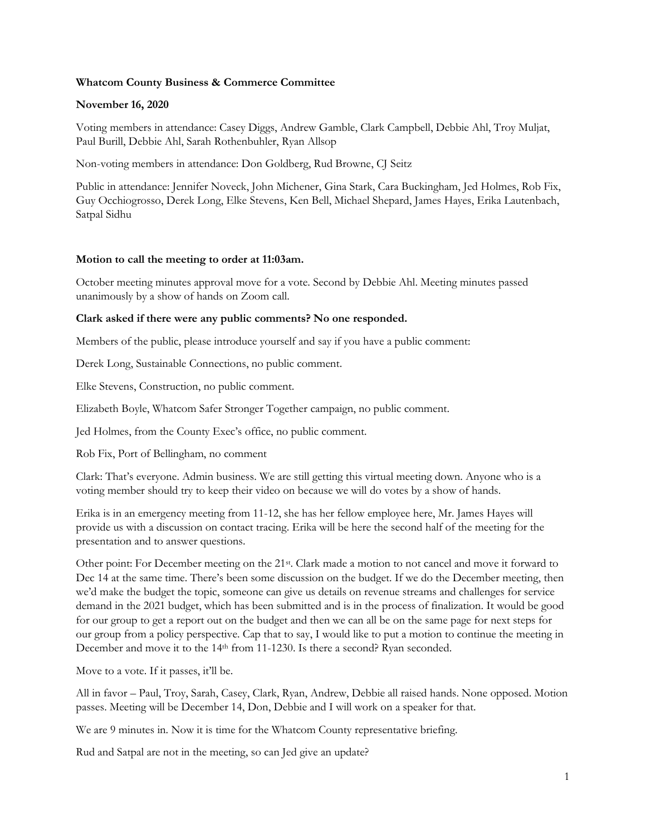# **Whatcom County Business & Commerce Committee**

## **November 16, 2020**

Voting members in attendance: Casey Diggs, Andrew Gamble, Clark Campbell, Debbie Ahl, Troy Muljat, Paul Burill, Debbie Ahl, Sarah Rothenbuhler, Ryan Allsop

Non-voting members in attendance: Don Goldberg, Rud Browne, CJ Seitz

Public in attendance: Jennifer Noveck, John Michener, Gina Stark, Cara Buckingham, Jed Holmes, Rob Fix, Guy Occhiogrosso, Derek Long, Elke Stevens, Ken Bell, Michael Shepard, James Hayes, Erika Lautenbach, Satpal Sidhu

### **Motion to call the meeting to order at 11:03am.**

October meeting minutes approval move for a vote. Second by Debbie Ahl. Meeting minutes passed unanimously by a show of hands on Zoom call.

### **Clark asked if there were any public comments? No one responded.**

Members of the public, please introduce yourself and say if you have a public comment:

Derek Long, Sustainable Connections, no public comment.

Elke Stevens, Construction, no public comment.

Elizabeth Boyle, Whatcom Safer Stronger Together campaign, no public comment.

Jed Holmes, from the County Exec's office, no public comment.

Rob Fix, Port of Bellingham, no comment

Clark: That's everyone. Admin business. We are still getting this virtual meeting down. Anyone who is a voting member should try to keep their video on because we will do votes by a show of hands.

Erika is in an emergency meeting from 11-12, she has her fellow employee here, Mr. James Hayes will provide us with a discussion on contact tracing. Erika will be here the second half of the meeting for the presentation and to answer questions.

Other point: For December meeting on the 21st. Clark made a motion to not cancel and move it forward to Dec 14 at the same time. There's been some discussion on the budget. If we do the December meeting, then we'd make the budget the topic, someone can give us details on revenue streams and challenges for service demand in the 2021 budget, which has been submitted and is in the process of finalization. It would be good for our group to get a report out on the budget and then we can all be on the same page for next steps for our group from a policy perspective. Cap that to say, I would like to put a motion to continue the meeting in December and move it to the 14th from 11-1230. Is there a second? Ryan seconded.

Move to a vote. If it passes, it'll be.

All in favor – Paul, Troy, Sarah, Casey, Clark, Ryan, Andrew, Debbie all raised hands. None opposed. Motion passes. Meeting will be December 14, Don, Debbie and I will work on a speaker for that.

We are 9 minutes in. Now it is time for the Whatcom County representative briefing.

Rud and Satpal are not in the meeting, so can Jed give an update?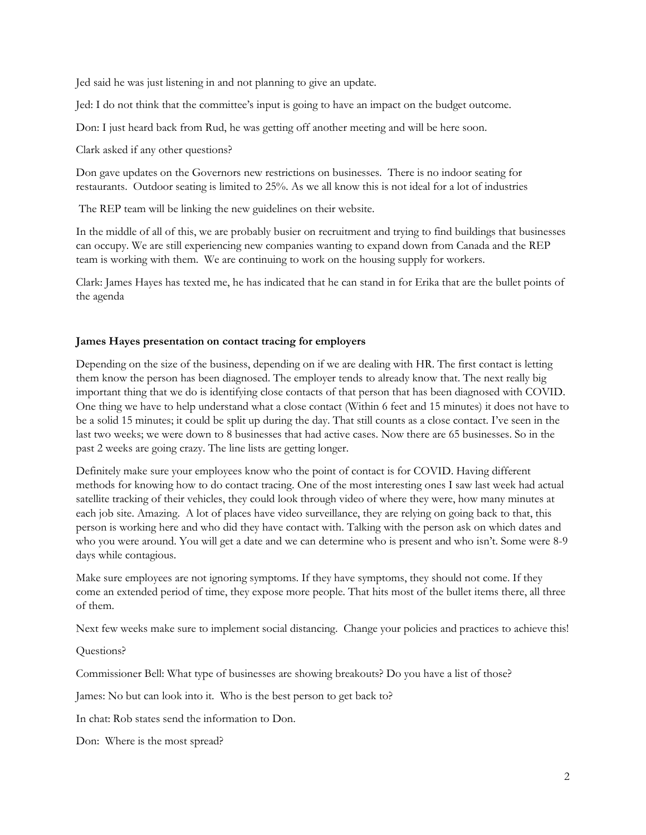Jed said he was just listening in and not planning to give an update.

Jed: I do not think that the committee's input is going to have an impact on the budget outcome.

Don: I just heard back from Rud, he was getting off another meeting and will be here soon.

Clark asked if any other questions?

Don gave updates on the Governors new restrictions on businesses. There is no indoor seating for restaurants. Outdoor seating is limited to 25%. As we all know this is not ideal for a lot of industries

The REP team will be linking the new guidelines on their website.

In the middle of all of this, we are probably busier on recruitment and trying to find buildings that businesses can occupy. We are still experiencing new companies wanting to expand down from Canada and the REP team is working with them. We are continuing to work on the housing supply for workers.

Clark: James Hayes has texted me, he has indicated that he can stand in for Erika that are the bullet points of the agenda

## **James Hayes presentation on contact tracing for employers**

Depending on the size of the business, depending on if we are dealing with HR. The first contact is letting them know the person has been diagnosed. The employer tends to already know that. The next really big important thing that we do is identifying close contacts of that person that has been diagnosed with COVID. One thing we have to help understand what a close contact (Within 6 feet and 15 minutes) it does not have to be a solid 15 minutes; it could be split up during the day. That still counts as a close contact. I've seen in the last two weeks; we were down to 8 businesses that had active cases. Now there are 65 businesses. So in the past 2 weeks are going crazy. The line lists are getting longer.

Definitely make sure your employees know who the point of contact is for COVID. Having different methods for knowing how to do contact tracing. One of the most interesting ones I saw last week had actual satellite tracking of their vehicles, they could look through video of where they were, how many minutes at each job site. Amazing. A lot of places have video surveillance, they are relying on going back to that, this person is working here and who did they have contact with. Talking with the person ask on which dates and who you were around. You will get a date and we can determine who is present and who isn't. Some were 8-9 days while contagious.

Make sure employees are not ignoring symptoms. If they have symptoms, they should not come. If they come an extended period of time, they expose more people. That hits most of the bullet items there, all three of them.

Next few weeks make sure to implement social distancing. Change your policies and practices to achieve this!

Questions?

Commissioner Bell: What type of businesses are showing breakouts? Do you have a list of those?

James: No but can look into it. Who is the best person to get back to?

In chat: Rob states send the information to Don.

Don: Where is the most spread?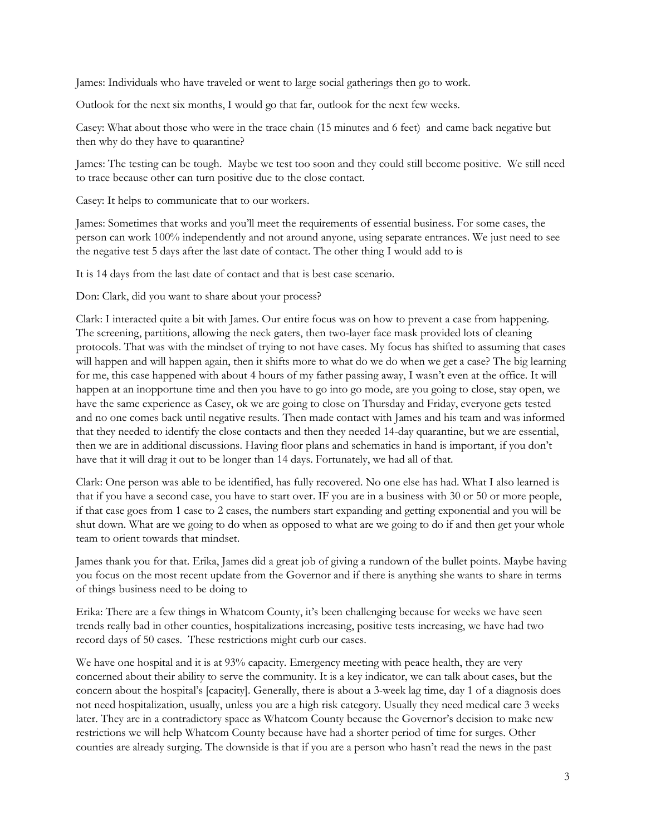James: Individuals who have traveled or went to large social gatherings then go to work.

Outlook for the next six months, I would go that far, outlook for the next few weeks.

Casey: What about those who were in the trace chain (15 minutes and 6 feet) and came back negative but then why do they have to quarantine?

James: The testing can be tough. Maybe we test too soon and they could still become positive. We still need to trace because other can turn positive due to the close contact.

Casey: It helps to communicate that to our workers.

James: Sometimes that works and you'll meet the requirements of essential business. For some cases, the person can work 100% independently and not around anyone, using separate entrances. We just need to see the negative test 5 days after the last date of contact. The other thing I would add to is

It is 14 days from the last date of contact and that is best case scenario.

Don: Clark, did you want to share about your process?

Clark: I interacted quite a bit with James. Our entire focus was on how to prevent a case from happening. The screening, partitions, allowing the neck gaters, then two-layer face mask provided lots of cleaning protocols. That was with the mindset of trying to not have cases. My focus has shifted to assuming that cases will happen and will happen again, then it shifts more to what do we do when we get a case? The big learning for me, this case happened with about 4 hours of my father passing away, I wasn't even at the office. It will happen at an inopportune time and then you have to go into go mode, are you going to close, stay open, we have the same experience as Casey, ok we are going to close on Thursday and Friday, everyone gets tested and no one comes back until negative results. Then made contact with James and his team and was informed that they needed to identify the close contacts and then they needed 14-day quarantine, but we are essential, then we are in additional discussions. Having floor plans and schematics in hand is important, if you don't have that it will drag it out to be longer than 14 days. Fortunately, we had all of that.

Clark: One person was able to be identified, has fully recovered. No one else has had. What I also learned is that if you have a second case, you have to start over. IF you are in a business with 30 or 50 or more people, if that case goes from 1 case to 2 cases, the numbers start expanding and getting exponential and you will be shut down. What are we going to do when as opposed to what are we going to do if and then get your whole team to orient towards that mindset.

James thank you for that. Erika, James did a great job of giving a rundown of the bullet points. Maybe having you focus on the most recent update from the Governor and if there is anything she wants to share in terms of things business need to be doing to

Erika: There are a few things in Whatcom County, it's been challenging because for weeks we have seen trends really bad in other counties, hospitalizations increasing, positive tests increasing, we have had two record days of 50 cases. These restrictions might curb our cases.

We have one hospital and it is at 93% capacity. Emergency meeting with peace health, they are very concerned about their ability to serve the community. It is a key indicator, we can talk about cases, but the concern about the hospital's [capacity]. Generally, there is about a 3-week lag time, day 1 of a diagnosis does not need hospitalization, usually, unless you are a high risk category. Usually they need medical care 3 weeks later. They are in a contradictory space as Whatcom County because the Governor's decision to make new restrictions we will help Whatcom County because have had a shorter period of time for surges. Other counties are already surging. The downside is that if you are a person who hasn't read the news in the past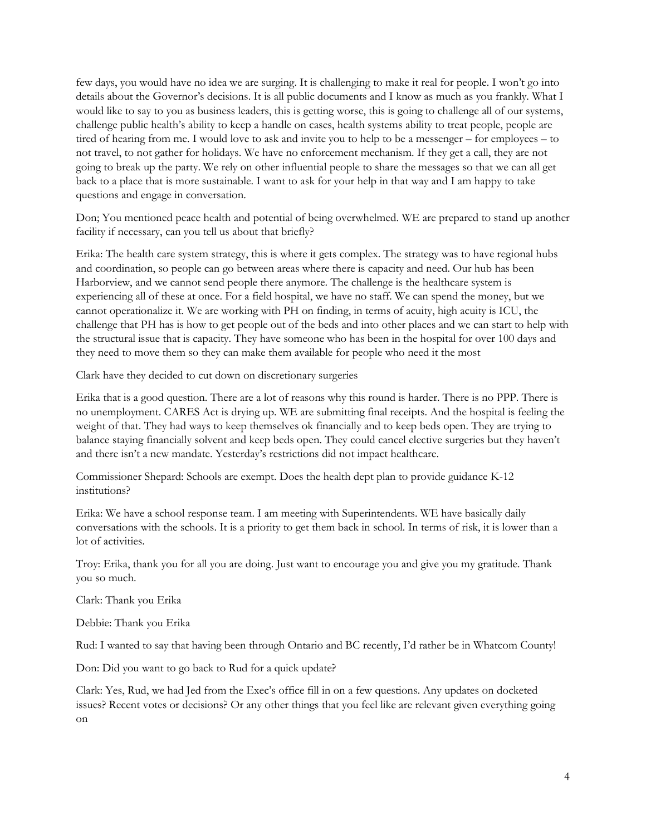few days, you would have no idea we are surging. It is challenging to make it real for people. I won't go into details about the Governor's decisions. It is all public documents and I know as much as you frankly. What I would like to say to you as business leaders, this is getting worse, this is going to challenge all of our systems, challenge public health's ability to keep a handle on cases, health systems ability to treat people, people are tired of hearing from me. I would love to ask and invite you to help to be a messenger – for employees – to not travel, to not gather for holidays. We have no enforcement mechanism. If they get a call, they are not going to break up the party. We rely on other influential people to share the messages so that we can all get back to a place that is more sustainable. I want to ask for your help in that way and I am happy to take questions and engage in conversation.

Don; You mentioned peace health and potential of being overwhelmed. WE are prepared to stand up another facility if necessary, can you tell us about that briefly?

Erika: The health care system strategy, this is where it gets complex. The strategy was to have regional hubs and coordination, so people can go between areas where there is capacity and need. Our hub has been Harborview, and we cannot send people there anymore. The challenge is the healthcare system is experiencing all of these at once. For a field hospital, we have no staff. We can spend the money, but we cannot operationalize it. We are working with PH on finding, in terms of acuity, high acuity is ICU, the challenge that PH has is how to get people out of the beds and into other places and we can start to help with the structural issue that is capacity. They have someone who has been in the hospital for over 100 days and they need to move them so they can make them available for people who need it the most

Clark have they decided to cut down on discretionary surgeries

Erika that is a good question. There are a lot of reasons why this round is harder. There is no PPP. There is no unemployment. CARES Act is drying up. WE are submitting final receipts. And the hospital is feeling the weight of that. They had ways to keep themselves ok financially and to keep beds open. They are trying to balance staying financially solvent and keep beds open. They could cancel elective surgeries but they haven't and there isn't a new mandate. Yesterday's restrictions did not impact healthcare.

Commissioner Shepard: Schools are exempt. Does the health dept plan to provide guidance K-12 institutions?

Erika: We have a school response team. I am meeting with Superintendents. WE have basically daily conversations with the schools. It is a priority to get them back in school. In terms of risk, it is lower than a lot of activities.

Troy: Erika, thank you for all you are doing. Just want to encourage you and give you my gratitude. Thank you so much.

Clark: Thank you Erika

Debbie: Thank you Erika

Rud: I wanted to say that having been through Ontario and BC recently, I'd rather be in Whatcom County!

Don: Did you want to go back to Rud for a quick update?

Clark: Yes, Rud, we had Jed from the Exec's office fill in on a few questions. Any updates on docketed issues? Recent votes or decisions? Or any other things that you feel like are relevant given everything going on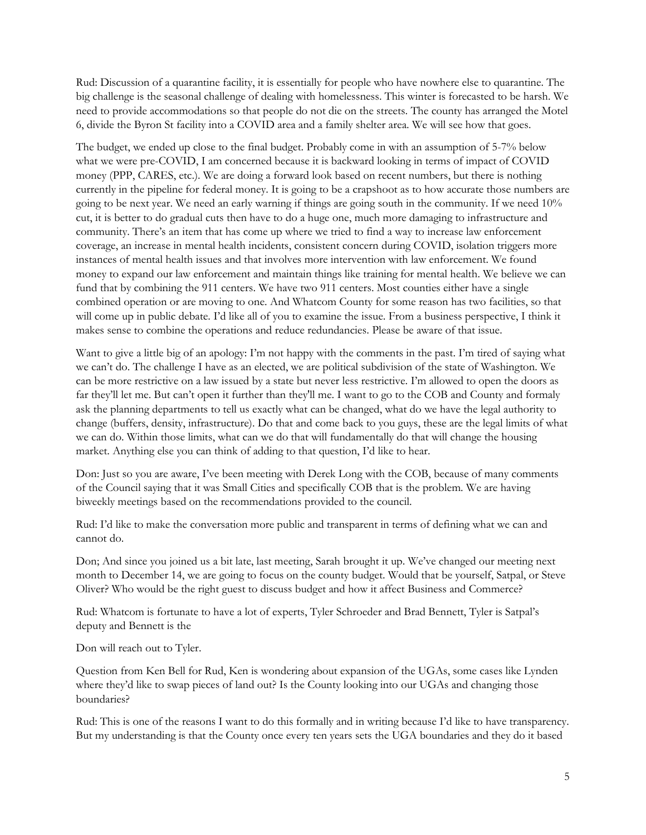Rud: Discussion of a quarantine facility, it is essentially for people who have nowhere else to quarantine. The big challenge is the seasonal challenge of dealing with homelessness. This winter is forecasted to be harsh. We need to provide accommodations so that people do not die on the streets. The county has arranged the Motel 6, divide the Byron St facility into a COVID area and a family shelter area. We will see how that goes.

The budget, we ended up close to the final budget. Probably come in with an assumption of 5-7% below what we were pre-COVID, I am concerned because it is backward looking in terms of impact of COVID money (PPP, CARES, etc.). We are doing a forward look based on recent numbers, but there is nothing currently in the pipeline for federal money. It is going to be a crapshoot as to how accurate those numbers are going to be next year. We need an early warning if things are going south in the community. If we need 10% cut, it is better to do gradual cuts then have to do a huge one, much more damaging to infrastructure and community. There's an item that has come up where we tried to find a way to increase law enforcement coverage, an increase in mental health incidents, consistent concern during COVID, isolation triggers more instances of mental health issues and that involves more intervention with law enforcement. We found money to expand our law enforcement and maintain things like training for mental health. We believe we can fund that by combining the 911 centers. We have two 911 centers. Most counties either have a single combined operation or are moving to one. And Whatcom County for some reason has two facilities, so that will come up in public debate. I'd like all of you to examine the issue. From a business perspective, I think it makes sense to combine the operations and reduce redundancies. Please be aware of that issue.

Want to give a little big of an apology: I'm not happy with the comments in the past. I'm tired of saying what we can't do. The challenge I have as an elected, we are political subdivision of the state of Washington. We can be more restrictive on a law issued by a state but never less restrictive. I'm allowed to open the doors as far they'll let me. But can't open it further than they'll me. I want to go to the COB and County and formaly ask the planning departments to tell us exactly what can be changed, what do we have the legal authority to change (buffers, density, infrastructure). Do that and come back to you guys, these are the legal limits of what we can do. Within those limits, what can we do that will fundamentally do that will change the housing market. Anything else you can think of adding to that question, I'd like to hear.

Don: Just so you are aware, I've been meeting with Derek Long with the COB, because of many comments of the Council saying that it was Small Cities and specifically COB that is the problem. We are having biweekly meetings based on the recommendations provided to the council.

Rud: I'd like to make the conversation more public and transparent in terms of defining what we can and cannot do.

Don; And since you joined us a bit late, last meeting, Sarah brought it up. We've changed our meeting next month to December 14, we are going to focus on the county budget. Would that be yourself, Satpal, or Steve Oliver? Who would be the right guest to discuss budget and how it affect Business and Commerce?

Rud: Whatcom is fortunate to have a lot of experts, Tyler Schroeder and Brad Bennett, Tyler is Satpal's deputy and Bennett is the

Don will reach out to Tyler.

Question from Ken Bell for Rud, Ken is wondering about expansion of the UGAs, some cases like Lynden where they'd like to swap pieces of land out? Is the County looking into our UGAs and changing those boundaries?

Rud: This is one of the reasons I want to do this formally and in writing because I'd like to have transparency. But my understanding is that the County once every ten years sets the UGA boundaries and they do it based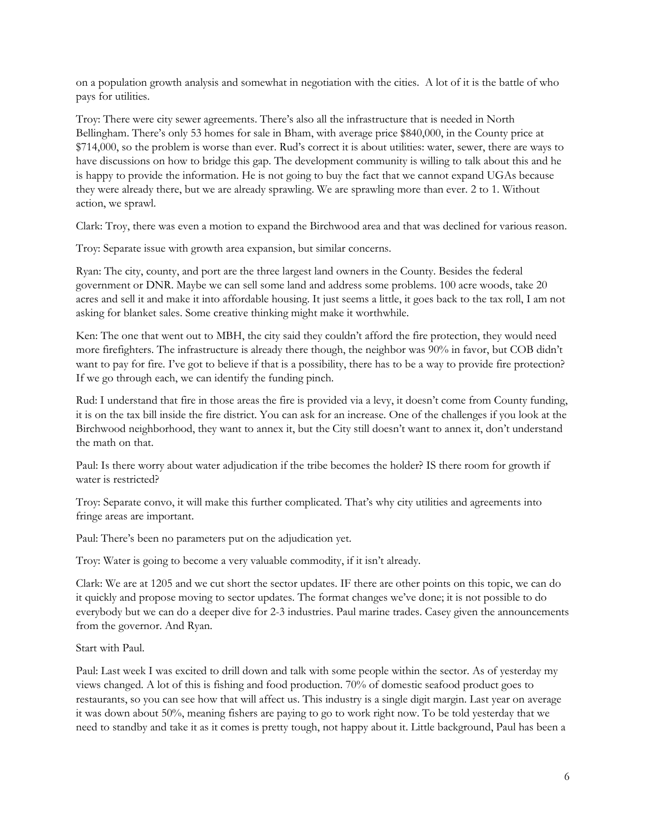on a population growth analysis and somewhat in negotiation with the cities. A lot of it is the battle of who pays for utilities.

Troy: There were city sewer agreements. There's also all the infrastructure that is needed in North Bellingham. There's only 53 homes for sale in Bham, with average price \$840,000, in the County price at \$714,000, so the problem is worse than ever. Rud's correct it is about utilities: water, sewer, there are ways to have discussions on how to bridge this gap. The development community is willing to talk about this and he is happy to provide the information. He is not going to buy the fact that we cannot expand UGAs because they were already there, but we are already sprawling. We are sprawling more than ever. 2 to 1. Without action, we sprawl.

Clark: Troy, there was even a motion to expand the Birchwood area and that was declined for various reason.

Troy: Separate issue with growth area expansion, but similar concerns.

Ryan: The city, county, and port are the three largest land owners in the County. Besides the federal government or DNR. Maybe we can sell some land and address some problems. 100 acre woods, take 20 acres and sell it and make it into affordable housing. It just seems a little, it goes back to the tax roll, I am not asking for blanket sales. Some creative thinking might make it worthwhile.

Ken: The one that went out to MBH, the city said they couldn't afford the fire protection, they would need more firefighters. The infrastructure is already there though, the neighbor was 90% in favor, but COB didn't want to pay for fire. I've got to believe if that is a possibility, there has to be a way to provide fire protection? If we go through each, we can identify the funding pinch.

Rud: I understand that fire in those areas the fire is provided via a levy, it doesn't come from County funding, it is on the tax bill inside the fire district. You can ask for an increase. One of the challenges if you look at the Birchwood neighborhood, they want to annex it, but the City still doesn't want to annex it, don't understand the math on that.

Paul: Is there worry about water adjudication if the tribe becomes the holder? IS there room for growth if water is restricted?

Troy: Separate convo, it will make this further complicated. That's why city utilities and agreements into fringe areas are important.

Paul: There's been no parameters put on the adjudication yet.

Troy: Water is going to become a very valuable commodity, if it isn't already.

Clark: We are at 1205 and we cut short the sector updates. IF there are other points on this topic, we can do it quickly and propose moving to sector updates. The format changes we've done; it is not possible to do everybody but we can do a deeper dive for 2-3 industries. Paul marine trades. Casey given the announcements from the governor. And Ryan.

### Start with Paul.

Paul: Last week I was excited to drill down and talk with some people within the sector. As of yesterday my views changed. A lot of this is fishing and food production. 70% of domestic seafood product goes to restaurants, so you can see how that will affect us. This industry is a single digit margin. Last year on average it was down about 50%, meaning fishers are paying to go to work right now. To be told yesterday that we need to standby and take it as it comes is pretty tough, not happy about it. Little background, Paul has been a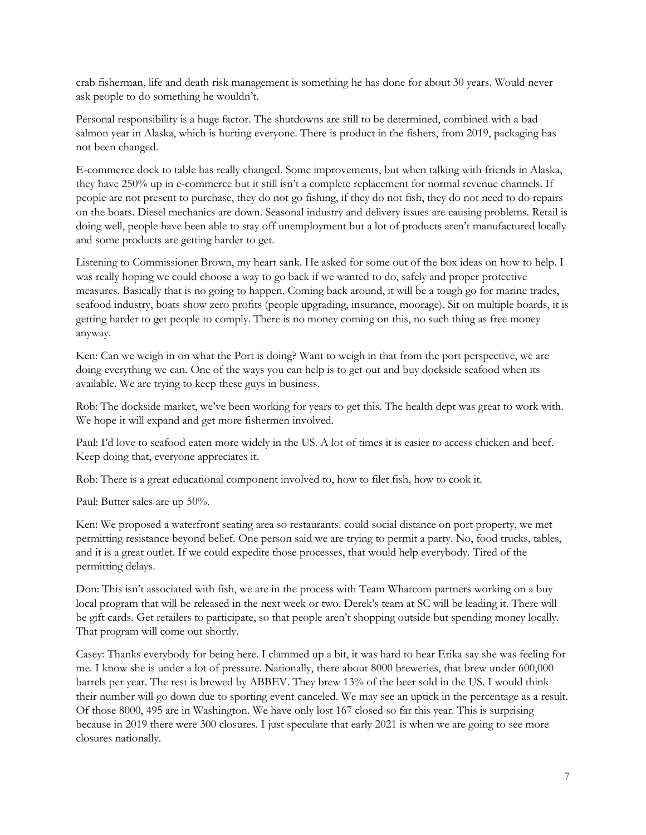crab fisherman, life and death risk management is something he has done for about 30 years. Would never ask people to do something he wouldn't.

Personal responsibility is a huge factor. The shutdowns are still to be determined, combined with a bad salmon year in Alaska, which is hurting everyone. There is product in the fishers, from 2019, packaging has not been changed.

E-commerce dock to table has really changed. Some improvements, but when talking with friends in Alaska, they have 250% up in e-commerce but it still isn't a complete replacement for normal revenue channels. If people are not present to purchase, they do not go fishing, if they do not fish, they do not need to do repairs on the boats. Diesel mechanics are down. Seasonal industry and delivery issues are causing problems. Retail is doing well, people have been able to stay off unemployment but a lot of products aren't manufactured locally and some products are getting harder to get.

Listening to Commissioner Brown, my heart sank. He asked for some out of the box ideas on how to help. I was really hoping we could choose a way to go back if we wanted to do, safely and proper protective measures. Basically that is no going to happen. Coming back around, it will be a tough go for marine trades, seafood industry, boats show zero profits (people upgrading, insurance, moorage). Sit on multiple boards, it is getting harder to get people to comply. There is no money coming on this, no such thing as free money anyway.

Ken: Can we weigh in on what the Port is doing? Want to weigh in that from the port perspective, we are doing everything we can. One of the ways you can help is to get out and buy dockside seafood when its available. We are trying to keep these guys in business.

Rob: The dockside market, we've been working for years to get this. The health dept was great to work with. We hope it will expand and get more fishermen involved.

Paul: I'd love to seafood eaten more widely in the US. A lot of times it is easier to access chicken and beef. Keep doing that, everyone appreciates it.

Rob: There is a great educational component involved to, how to filet fish, how to cook it.

Paul: Butter sales are up 50%.

Ken: We proposed a waterfront seating area so restaurants. could social distance on port property, we met permitting resistance beyond belief. One person said we are trying to permit a party. No, food trucks, tables, and it is a great outlet. If we could expedite those processes, that would help everybody. Tired of the permitting delays.

Don: This isn't associated with fish, we are in the process with Team Whatcom partners working on a buy local program that will be released in the next week or two. Derek's team at SC will be leading it. There will be gift cards. Get retailers to participate, so that people aren't shopping outside but spending money locally. That program will come out shortly.

Casey: Thanks everybody for being here. I clammed up a bit, it was hard to hear Erika say she was feeling for me. I know she is under a lot of pressure. Nationally, there about 8000 breweries, that brew under 600,000 barrels per year. The rest is brewed by ABBEV. They brew 13% of the beer sold in the US. I would think their number will go down due to sporting event canceled. We may see an uptick in the percentage as a result. Of those 8000, 495 are in Washington. We have only lost 167 closed so far this year. This is surprising because in 2019 there were 300 closures. I just speculate that early 2021 is when we are going to see more closures nationally.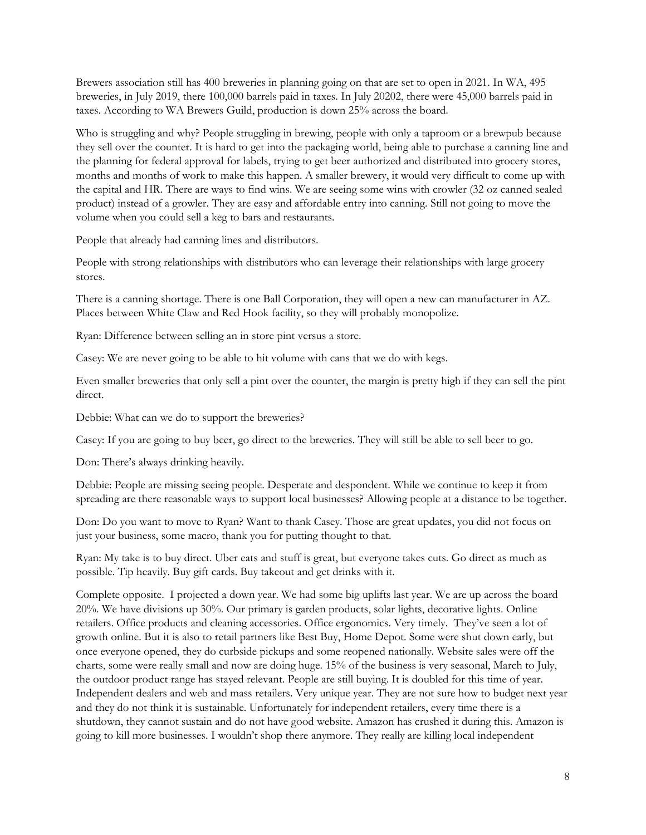Brewers association still has 400 breweries in planning going on that are set to open in 2021. In WA, 495 breweries, in July 2019, there 100,000 barrels paid in taxes. In July 20202, there were 45,000 barrels paid in taxes. According to WA Brewers Guild, production is down 25% across the board.

Who is struggling and why? People struggling in brewing, people with only a taproom or a brewpub because they sell over the counter. It is hard to get into the packaging world, being able to purchase a canning line and the planning for federal approval for labels, trying to get beer authorized and distributed into grocery stores, months and months of work to make this happen. A smaller brewery, it would very difficult to come up with the capital and HR. There are ways to find wins. We are seeing some wins with crowler (32 oz canned sealed product) instead of a growler. They are easy and affordable entry into canning. Still not going to move the volume when you could sell a keg to bars and restaurants.

People that already had canning lines and distributors.

People with strong relationships with distributors who can leverage their relationships with large grocery stores.

There is a canning shortage. There is one Ball Corporation, they will open a new can manufacturer in AZ. Places between White Claw and Red Hook facility, so they will probably monopolize.

Ryan: Difference between selling an in store pint versus a store.

Casey: We are never going to be able to hit volume with cans that we do with kegs.

Even smaller breweries that only sell a pint over the counter, the margin is pretty high if they can sell the pint direct.

Debbie: What can we do to support the breweries?

Casey: If you are going to buy beer, go direct to the breweries. They will still be able to sell beer to go.

Don: There's always drinking heavily.

Debbie: People are missing seeing people. Desperate and despondent. While we continue to keep it from spreading are there reasonable ways to support local businesses? Allowing people at a distance to be together.

Don: Do you want to move to Ryan? Want to thank Casey. Those are great updates, you did not focus on just your business, some macro, thank you for putting thought to that.

Ryan: My take is to buy direct. Uber eats and stuff is great, but everyone takes cuts. Go direct as much as possible. Tip heavily. Buy gift cards. Buy takeout and get drinks with it.

Complete opposite. I projected a down year. We had some big uplifts last year. We are up across the board 20%. We have divisions up 30%. Our primary is garden products, solar lights, decorative lights. Online retailers. Office products and cleaning accessories. Office ergonomics. Very timely. They've seen a lot of growth online. But it is also to retail partners like Best Buy, Home Depot. Some were shut down early, but once everyone opened, they do curbside pickups and some reopened nationally. Website sales were off the charts, some were really small and now are doing huge. 15% of the business is very seasonal, March to July, the outdoor product range has stayed relevant. People are still buying. It is doubled for this time of year. Independent dealers and web and mass retailers. Very unique year. They are not sure how to budget next year and they do not think it is sustainable. Unfortunately for independent retailers, every time there is a shutdown, they cannot sustain and do not have good website. Amazon has crushed it during this. Amazon is going to kill more businesses. I wouldn't shop there anymore. They really are killing local independent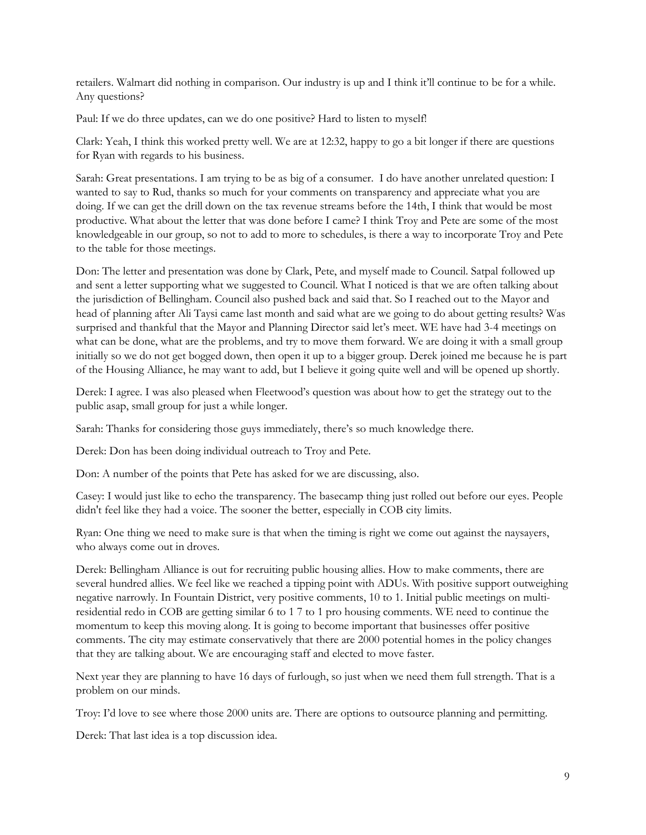retailers. Walmart did nothing in comparison. Our industry is up and I think it'll continue to be for a while. Any questions?

Paul: If we do three updates, can we do one positive? Hard to listen to myself!

Clark: Yeah, I think this worked pretty well. We are at 12:32, happy to go a bit longer if there are questions for Ryan with regards to his business.

Sarah: Great presentations. I am trying to be as big of a consumer. I do have another unrelated question: I wanted to say to Rud, thanks so much for your comments on transparency and appreciate what you are doing. If we can get the drill down on the tax revenue streams before the 14th, I think that would be most productive. What about the letter that was done before I came? I think Troy and Pete are some of the most knowledgeable in our group, so not to add to more to schedules, is there a way to incorporate Troy and Pete to the table for those meetings.

Don: The letter and presentation was done by Clark, Pete, and myself made to Council. Satpal followed up and sent a letter supporting what we suggested to Council. What I noticed is that we are often talking about the jurisdiction of Bellingham. Council also pushed back and said that. So I reached out to the Mayor and head of planning after Ali Taysi came last month and said what are we going to do about getting results? Was surprised and thankful that the Mayor and Planning Director said let's meet. WE have had 3-4 meetings on what can be done, what are the problems, and try to move them forward. We are doing it with a small group initially so we do not get bogged down, then open it up to a bigger group. Derek joined me because he is part of the Housing Alliance, he may want to add, but I believe it going quite well and will be opened up shortly.

Derek: I agree. I was also pleased when Fleetwood's question was about how to get the strategy out to the public asap, small group for just a while longer.

Sarah: Thanks for considering those guys immediately, there's so much knowledge there.

Derek: Don has been doing individual outreach to Troy and Pete.

Don: A number of the points that Pete has asked for we are discussing, also.

Casey: I would just like to echo the transparency. The basecamp thing just rolled out before our eyes. People didn't feel like they had a voice. The sooner the better, especially in COB city limits.

Ryan: One thing we need to make sure is that when the timing is right we come out against the naysayers, who always come out in droves.

Derek: Bellingham Alliance is out for recruiting public housing allies. How to make comments, there are several hundred allies. We feel like we reached a tipping point with ADUs. With positive support outweighing negative narrowly. In Fountain District, very positive comments, 10 to 1. Initial public meetings on multiresidential redo in COB are getting similar 6 to 1 7 to 1 pro housing comments. WE need to continue the momentum to keep this moving along. It is going to become important that businesses offer positive comments. The city may estimate conservatively that there are 2000 potential homes in the policy changes that they are talking about. We are encouraging staff and elected to move faster.

Next year they are planning to have 16 days of furlough, so just when we need them full strength. That is a problem on our minds.

Troy: I'd love to see where those 2000 units are. There are options to outsource planning and permitting.

Derek: That last idea is a top discussion idea.